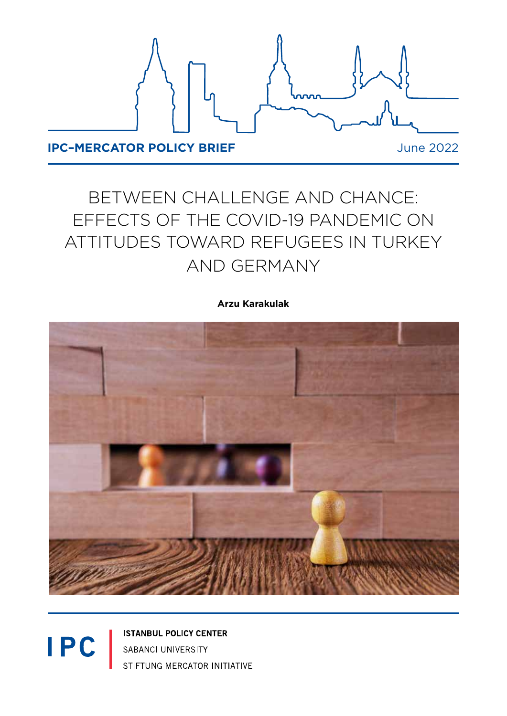

# BETWEEN CHALLENGE AND CHANCE: EFFECTS OF THE COVID-19 PANDEMIC ON ATTITUDES TOWARD REFUGEES IN TURKEY AND GERMANY

### **Arzu Karakulak**



**ISTANBUL POLICY CENTER** SABANCI UNIVERSITY STIFTUNG MERCATOR INITIATIVE

**IPC**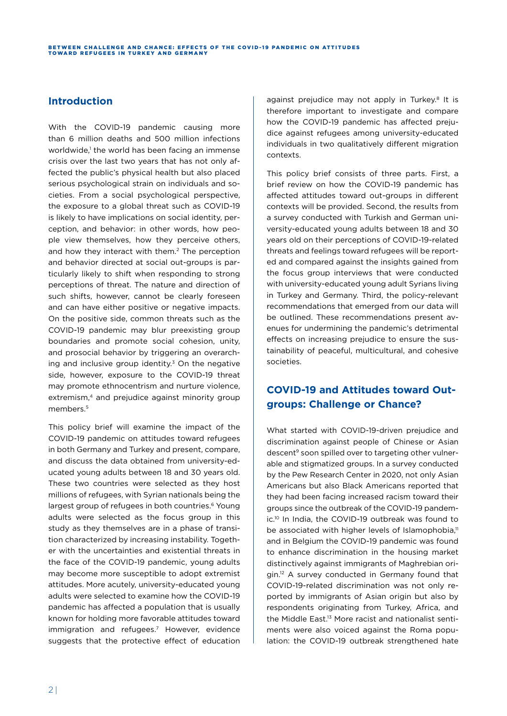### **Introduction**

With the COVID-19 pandemic causing more than 6 million deaths and 500 million infections worldwide,1 the world has been facing an immense crisis over the last two years that has not only affected the public's physical health but also placed serious psychological strain on individuals and societies. From a social psychological perspective, the exposure to a global threat such as COVID-19 is likely to have implications on social identity, perception, and behavior: in other words, how people view themselves, how they perceive others, and how they interact with them.<sup>2</sup> The perception and behavior directed at social out-groups is particularly likely to shift when responding to strong perceptions of threat. The nature and direction of such shifts, however, cannot be clearly foreseen and can have either positive or negative impacts. On the positive side, common threats such as the COVID-19 pandemic may blur preexisting group boundaries and promote social cohesion, unity, and prosocial behavior by triggering an overarching and inclusive group identity. $3$  On the negative side, however, exposure to the COVID-19 threat may promote ethnocentrism and nurture violence, extremism,<sup>4</sup> and prejudice against minority group members.5

This policy brief will examine the impact of the COVID-19 pandemic on attitudes toward refugees in both Germany and Turkey and present, compare, and discuss the data obtained from university-educated young adults between 18 and 30 years old. These two countries were selected as they host millions of refugees, with Syrian nationals being the largest group of refugees in both countries.<sup>6</sup> Young adults were selected as the focus group in this study as they themselves are in a phase of transition characterized by increasing instability. Together with the uncertainties and existential threats in the face of the COVID-19 pandemic, young adults may become more susceptible to adopt extremist attitudes. More acutely, university-educated young adults were selected to examine how the COVID-19 pandemic has affected a population that is usually known for holding more favorable attitudes toward immigration and refugees.7 However, evidence suggests that the protective effect of education

against prejudice may not apply in Turkey.<sup>8</sup> It is therefore important to investigate and compare how the COVID-19 pandemic has affected prejudice against refugees among university-educated individuals in two qualitatively different migration contexts.

This policy brief consists of three parts. First, a brief review on how the COVID-19 pandemic has affected attitudes toward out-groups in different contexts will be provided. Second, the results from a survey conducted with Turkish and German university-educated young adults between 18 and 30 years old on their perceptions of COVID-19-related threats and feelings toward refugees will be reported and compared against the insights gained from the focus group interviews that were conducted with university-educated young adult Syrians living in Turkey and Germany. Third, the policy-relevant recommendations that emerged from our data will be outlined. These recommendations present avenues for undermining the pandemic's detrimental effects on increasing prejudice to ensure the sustainability of peaceful, multicultural, and cohesive societies.

### **COVID-19 and Attitudes toward Outgroups: Challenge or Chance?**

What started with COVID-19-driven prejudice and discrimination against people of Chinese or Asian descent<sup>9</sup> soon spilled over to targeting other vulnerable and stigmatized groups. In a survey conducted by the Pew Research Center in 2020, not only Asian Americans but also Black Americans reported that they had been facing increased racism toward their groups since the outbreak of the COVID-19 pandemic.10 In India, the COVID-19 outbreak was found to be associated with higher levels of Islamophobia,<sup>11</sup> and in Belgium the COVID-19 pandemic was found to enhance discrimination in the housing market distinctively against immigrants of Maghrebian origin.12 A survey conducted in Germany found that COVID-19-related discrimination was not only reported by immigrants of Asian origin but also by respondents originating from Turkey, Africa, and the Middle East.13 More racist and nationalist sentiments were also voiced against the Roma population: the COVID-19 outbreak strengthened hate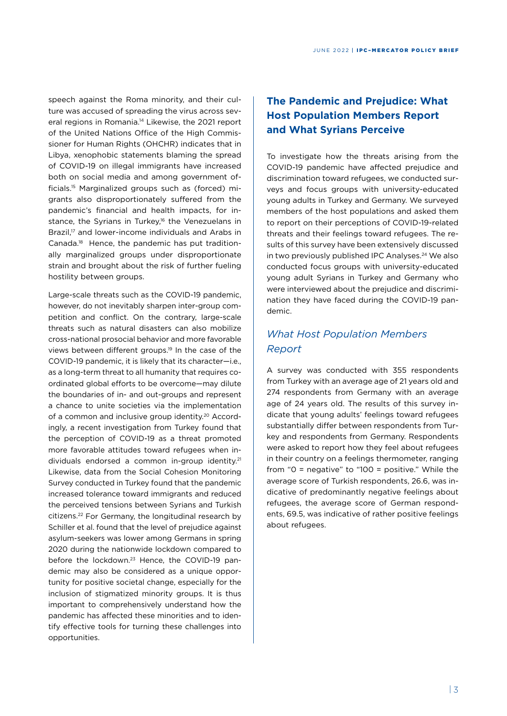speech against the Roma minority, and their culture was accused of spreading the virus across several regions in Romania.14 Likewise, the 2021 report of the United Nations Office of the High Commissioner for Human Rights (OHCHR) indicates that in Libya, xenophobic statements blaming the spread of COVID-19 on illegal immigrants have increased both on social media and among government officials.15 Marginalized groups such as (forced) migrants also disproportionately suffered from the pandemic's financial and health impacts, for instance, the Syrians in Turkey,<sup>16</sup> the Venezuelans in Brazil,<sup>17</sup> and lower-income individuals and Arabs in Canada.18 Hence, the pandemic has put traditionally marginalized groups under disproportionate strain and brought about the risk of further fueling hostility between groups.

Large-scale threats such as the COVID-19 pandemic, however, do not inevitably sharpen inter-group competition and conflict. On the contrary, large-scale threats such as natural disasters can also mobilize cross-national prosocial behavior and more favorable views between different groups.19 In the case of the COVID-19 pandemic, it is likely that its character—i.e., as a long-term threat to all humanity that requires coordinated global efforts to be overcome—may dilute the boundaries of in- and out-groups and represent a chance to unite societies via the implementation of a common and inclusive group identity.<sup>20</sup> Accordingly, a recent investigation from Turkey found that the perception of COVID-19 as a threat promoted more favorable attitudes toward refugees when individuals endorsed a common in-group identity.<sup>21</sup> Likewise, data from the Social Cohesion Monitoring Survey conducted in Turkey found that the pandemic increased tolerance toward immigrants and reduced the perceived tensions between Syrians and Turkish citizens.22 For Germany, the longitudinal research by Schiller et al. found that the level of prejudice against asylum-seekers was lower among Germans in spring 2020 during the nationwide lockdown compared to before the lockdown.23 Hence, the COVID-19 pandemic may also be considered as a unique opportunity for positive societal change, especially for the inclusion of stigmatized minority groups. It is thus important to comprehensively understand how the pandemic has affected these minorities and to identify effective tools for turning these challenges into opportunities.

### **The Pandemic and Prejudice: What Host Population Members Report and What Syrians Perceive**

To investigate how the threats arising from the COVID-19 pandemic have affected prejudice and discrimination toward refugees, we conducted surveys and focus groups with university-educated young adults in Turkey and Germany. We surveyed members of the host populations and asked them to report on their perceptions of COVID-19-related threats and their feelings toward refugees. The results of this survey have been extensively discussed in two previously published IPC Analyses.<sup>24</sup> We also conducted focus groups with university-educated young adult Syrians in Turkey and Germany who were interviewed about the prejudice and discrimination they have faced during the COVID-19 pandemic.

### *What Host Population Members Report*

A survey was conducted with 355 respondents from Turkey with an average age of 21 years old and 274 respondents from Germany with an average age of 24 years old. The results of this survey indicate that young adults' feelings toward refugees substantially differ between respondents from Turkey and respondents from Germany. Respondents were asked to report how they feel about refugees in their country on a feelings thermometer, ranging from "0 = negative" to "100 = positive." While the average score of Turkish respondents, 26.6, was indicative of predominantly negative feelings about refugees, the average score of German respondents, 69.5, was indicative of rather positive feelings about refugees.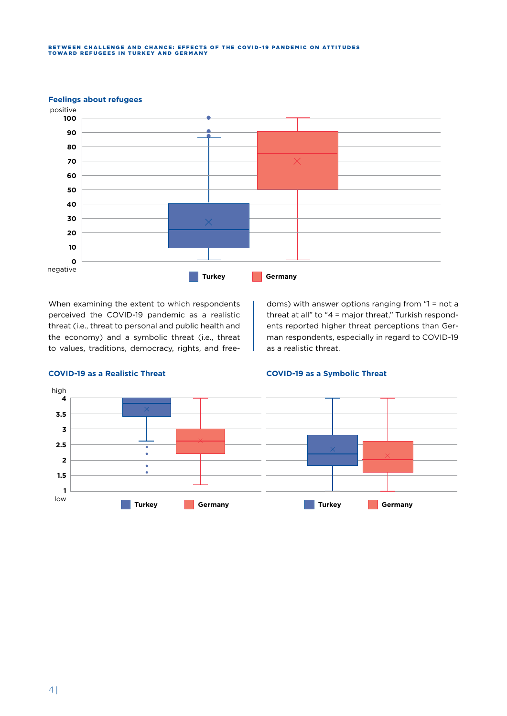## BETWEEN CHALLENGE AND CHANCE: EFFECTS OF THE COVID-19 PANDEMIC ON ATTITUDES<br>TOWARD REFUGEES IN TURKEY AND GERMANY



### When examining the extent to which respondents perceived the COVID-19 pandemic as a realistic threat (i.e., threat to personal and public health and the economy) and a symbolic threat (i.e., threat to values, traditions, democracy, rights, and free-

doms) with answer options ranging from "1 = not a threat at all" to "4 = major threat," Turkish respondents reported higher threat perceptions than German respondents, especially in regard to COVID-19 as a realistic threat.



### **COVID-19 as a Realistic Threat COVID-19 as a Symbolic Threat**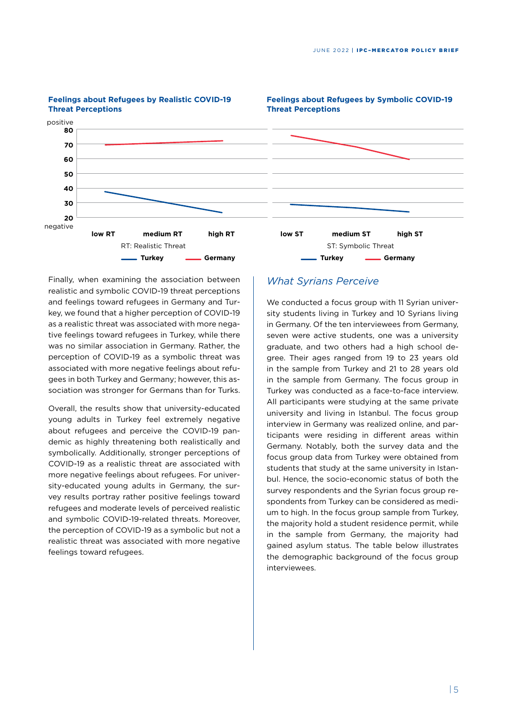**Feelings about Refugees by Symbolic COVID-19** 



### **Feelings about Refugees by Realistic COVID-19 Threat Perceptions**

Finally, when examining the association between realistic and symbolic COVID-19 threat perceptions and feelings toward refugees in Germany and Turkey, we found that a higher perception of COVID-19 as a realistic threat was associated with more negative feelings toward refugees in Turkey, while there was no similar association in Germany. Rather, the perception of COVID-19 as a symbolic threat was associated with more negative feelings about refugees in both Turkey and Germany; however, this association was stronger for Germans than for Turks.

Overall, the results show that university-educated young adults in Turkey feel extremely negative about refugees and perceive the COVID-19 pandemic as highly threatening both realistically and symbolically. Additionally, stronger perceptions of COVID-19 as a realistic threat are associated with more negative feelings about refugees. For university-educated young adults in Germany, the survey results portray rather positive feelings toward refugees and moderate levels of perceived realistic and symbolic COVID-19-related threats. Moreover, the perception of COVID-19 as a symbolic but not a realistic threat was associated with more negative feelings toward refugees.

### *What Syrians Perceive*

We conducted a focus group with 11 Syrian university students living in Turkey and 10 Syrians living in Germany. Of the ten interviewees from Germany, seven were active students, one was a university graduate, and two others had a high school degree. Their ages ranged from 19 to 23 years old in the sample from Turkey and 21 to 28 years old in the sample from Germany. The focus group in Turkey was conducted as a face-to-face interview. All participants were studying at the same private university and living in Istanbul. The focus group interview in Germany was realized online, and participants were residing in different areas within Germany. Notably, both the survey data and the focus group data from Turkey were obtained from students that study at the same university in Istanbul. Hence, the socio-economic status of both the survey respondents and the Syrian focus group respondents from Turkey can be considered as medium to high. In the focus group sample from Turkey, the majority hold a student residence permit, while in the sample from Germany, the majority had gained asylum status. The table below illustrates the demographic background of the focus group interviewees.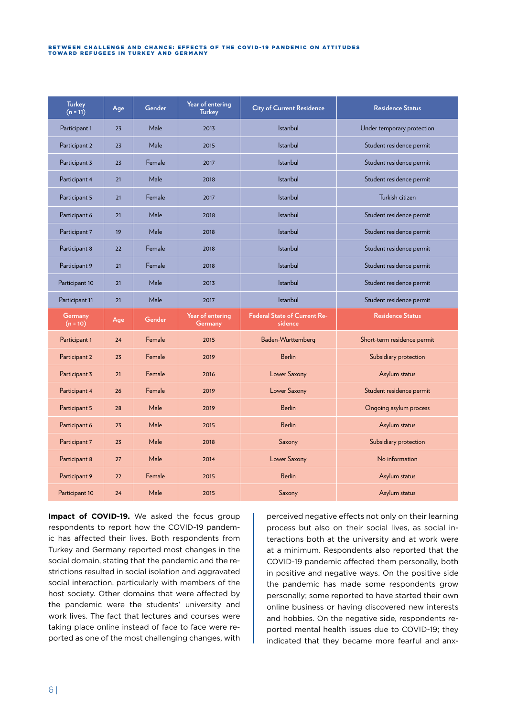#### BETWEEN CHALLENGE AND CHANCE: EFFECTS OF THE COVID-19 PANDEMIC ON ATTITUDES TOWARD REFUGEES IN TURKEY AND GERMANY

| <b>Turkey</b><br>$(n = 11)$ | Age | Gender | Year of entering<br><b>Turkey</b> | <b>City of Current Residence</b>               | <b>Residence Status</b>     |
|-----------------------------|-----|--------|-----------------------------------|------------------------------------------------|-----------------------------|
| Participant 1               | 23  | Male   | 2013                              | <b>Istanbul</b>                                | Under temporary protection  |
| Participant 2               | 23  | Male   | 2015                              | <b>Istanbul</b>                                | Student residence permit    |
| Participant 3               | 23  | Female | 2017                              | <b>Istanbul</b>                                | Student residence permit    |
| Participant 4               | 21  | Male   | 2018                              | <b>Istanbul</b>                                | Student residence permit    |
| Participant 5               | 21  | Female | 2017                              | <b>Istanbul</b>                                | Turkish citizen             |
| Participant 6               | 21  | Male   | 2018                              | <b>Istanbul</b>                                | Student residence permit    |
| Participant 7               | 19  | Male   | 2018                              | <b>Istanbul</b>                                | Student residence permit    |
| Participant 8               | 22  | Female | 2018                              | <b>Istanbul</b>                                | Student residence permit    |
| Participant 9               | 21  | Female | 2018                              | <b>Istanbul</b>                                | Student residence permit    |
| Participant 10              | 21  | Male   | 2013                              | <b>Istanbul</b>                                | Student residence permit    |
| Participant 11              | 21  | Male   | 2017                              | <b>Istanbul</b>                                | Student residence permit    |
| Germany<br>$(n = 10)$       | Age | Gender | Year of entering<br>Germany       | <b>Federal State of Current Re-</b><br>sidence | <b>Residence Status</b>     |
| Participant 1               | 24  | Female | 2015                              | Baden-Württemberg                              | Short-term residence permit |
| Participant 2               | 23  | Female | 2019                              | <b>Berlin</b>                                  | Subsidiary protection       |
| Participant 3               | 21  | Female | 2016                              | Lower Saxony                                   | Asylum status               |
| Participant 4               | 26  | Female | 2019                              | Lower Saxony                                   | Student residence permit    |
| Participant 5               | 28  | Male   | 2019                              | <b>Berlin</b>                                  | Ongoing asylum process      |
| Participant 6               | 23  | Male   | 2015                              | <b>Berlin</b>                                  | Asylum status               |
| Participant 7               | 23  | Male   | 2018                              | Saxony                                         | Subsidiary protection       |
| Participant 8               | 27  | Male   | 2014                              | Lower Saxony                                   | No information              |
| Participant 9               | 22  | Female | 2015                              | <b>Berlin</b>                                  | Asylum status               |
| Participant 10              | 24  | Male   | 2015                              | Saxony                                         | Asylum status               |

Impact of COVID-19. We asked the focus group respondents to report how the COVID-19 pandemic has affected their lives. Both respondents from Turkey and Germany reported most changes in the social domain, stating that the pandemic and the restrictions resulted in social isolation and aggravated social interaction, particularly with members of the host society. Other domains that were affected by the pandemic were the students' university and work lives. The fact that lectures and courses were taking place online instead of face to face were reported as one of the most challenging changes, with perceived negative effects not only on their learning process but also on their social lives, as social interactions both at the university and at work were at a minimum. Respondents also reported that the COVID-19 pandemic affected them personally, both in positive and negative ways. On the positive side the pandemic has made some respondents grow personally; some reported to have started their own online business or having discovered new interests and hobbies. On the negative side, respondents reported mental health issues due to COVID-19; they indicated that they became more fearful and anx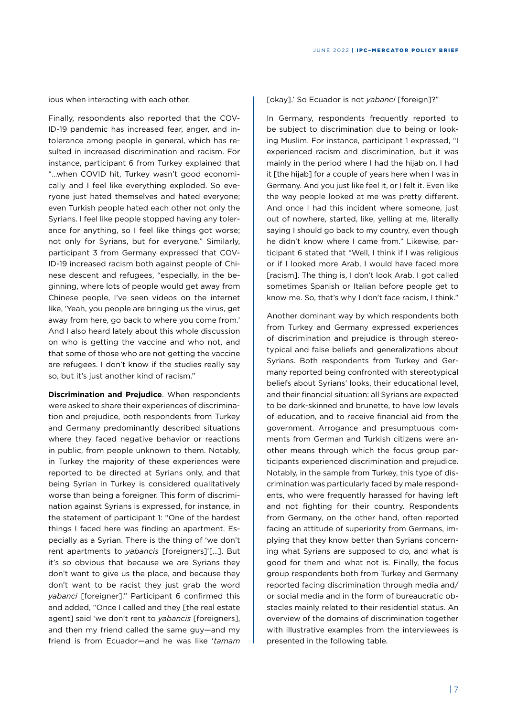ious when interacting with each other.

Finally, respondents also reported that the COV-ID-19 pandemic has increased fear, anger, and intolerance among people in general, which has resulted in increased discrimination and racism. For instance, participant 6 from Turkey explained that "…when COVID hit, Turkey wasn't good economically and I feel like everything exploded. So everyone just hated themselves and hated everyone; even Turkish people hated each other not only the Syrians. I feel like people stopped having any tolerance for anything, so I feel like things got worse; not only for Syrians, but for everyone." Similarly, participant 3 from Germany expressed that COV-ID-19 increased racism both against people of Chinese descent and refugees, "especially, in the beginning, where lots of people would get away from Chinese people, I've seen videos on the internet like, 'Yeah, you people are bringing us the virus, get away from here, go back to where you come from.' And I also heard lately about this whole discussion on who is getting the vaccine and who not, and that some of those who are not getting the vaccine are refugees. I don't know if the studies really say so, but it's just another kind of racism."

**Discrimination and Prejudice**. When respondents were asked to share their experiences of discrimination and prejudice, both respondents from Turkey and Germany predominantly described situations where they faced negative behavior or reactions in public, from people unknown to them. Notably, in Turkey the majority of these experiences were reported to be directed at Syrians only, and that being Syrian in Turkey is considered qualitatively worse than being a foreigner. This form of discrimination against Syrians is expressed, for instance, in the statement of participant 1: "One of the hardest things I faced here was finding an apartment. Especially as a Syrian. There is the thing of 'we don't rent apartments to *yabancis* [foreigners]'[…]. But it's so obvious that because we are Syrians they don't want to give us the place, and because they don't want to be racist they just grab the word *yabanci* [foreigner]." Participant 6 confirmed this and added, "Once I called and they [the real estate agent] said 'we don't rent to *yabancis* [foreigners], and then my friend called the same guy—and my friend is from Ecuador—and he was like '*tamam*

[okay].' So Ecuador is not *yabanci* [foreign]?"

In Germany, respondents frequently reported to be subject to discrimination due to being or looking Muslim. For instance, participant 1 expressed, "I experienced racism and discrimination, but it was mainly in the period where I had the hijab on. I had it [the hijab] for a couple of years here when I was in Germany. And you just like feel it, or I felt it. Even like the way people looked at me was pretty different. And once I had this incident where someone, just out of nowhere, started, like, yelling at me, literally saying I should go back to my country, even though he didn't know where I came from." Likewise, participant 6 stated that "Well, I think if I was religious or if I looked more Arab, I would have faced more [racism]. The thing is, I don't look Arab. I got called sometimes Spanish or Italian before people get to know me. So, that's why I don't face racism, I think."

Another dominant way by which respondents both from Turkey and Germany expressed experiences of discrimination and prejudice is through stereotypical and false beliefs and generalizations about Syrians. Both respondents from Turkey and Germany reported being confronted with stereotypical beliefs about Syrians' looks, their educational level, and their financial situation: all Syrians are expected to be dark-skinned and brunette, to have low levels of education, and to receive financial aid from the government. Arrogance and presumptuous comments from German and Turkish citizens were another means through which the focus group participants experienced discrimination and prejudice. Notably, in the sample from Turkey, this type of discrimination was particularly faced by male respondents, who were frequently harassed for having left and not fighting for their country. Respondents from Germany, on the other hand, often reported facing an attitude of superiority from Germans, implying that they know better than Syrians concerning what Syrians are supposed to do, and what is good for them and what not is. Finally, the focus group respondents both from Turkey and Germany reported facing discrimination through media and/ or social media and in the form of bureaucratic obstacles mainly related to their residential status. An overview of the domains of discrimination together with illustrative examples from the interviewees is presented in the following table.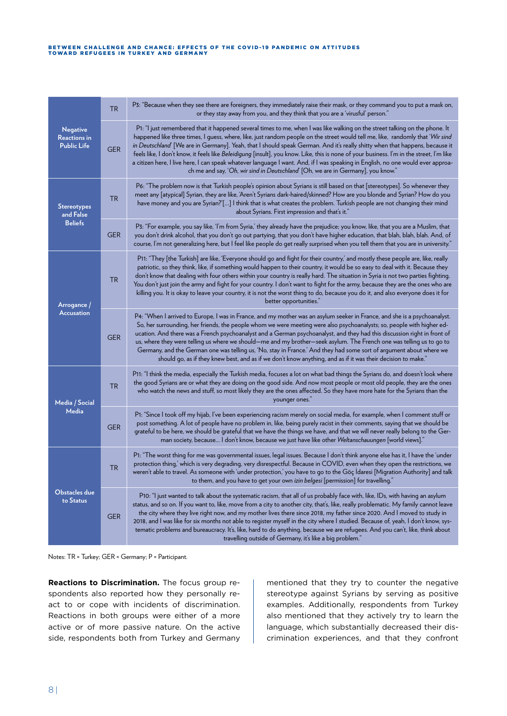### BETWEEN CHALLENGE AND CHANCE: EFFECTS OF THE COVID-19 PANDEMIC ON ATTITUDES<br>TOWARD REFUGEES IN TURKEY AND GERMANY

| <b>Negative</b><br><b>Reactions in</b><br><b>Public Life</b> | <b>TR</b>  | P3: "Because when they see there are foreigners, they immediately raise their mask, or they command you to put a mask on,<br>or they stay away from you, and they think that you are a 'virusful' person."                                                                                                                                                                                                                                                                                                                                                                                                                                                                                                                                                     |
|--------------------------------------------------------------|------------|----------------------------------------------------------------------------------------------------------------------------------------------------------------------------------------------------------------------------------------------------------------------------------------------------------------------------------------------------------------------------------------------------------------------------------------------------------------------------------------------------------------------------------------------------------------------------------------------------------------------------------------------------------------------------------------------------------------------------------------------------------------|
|                                                              | <b>GER</b> | P1: "I just remembered that it happened several times to me, when I was like walking on the street talking on the phone. It<br>happened like three times, I guess, where, like, just random people on the street would tell me, like, randomly that 'Wir sind<br>in Deutschland [We are in Germany]. Yeah, that I should speak German. And it's really shitty when that happens, because it<br>feels like, I don't know, it feels like Beleidigung [insult], you know. Like, this is none of your business. I'm in the street, I'm like<br>a citizen here, I live here, I can speak whatever language I want. And, if I was speaking in English, no one would ever approa-<br>ch me and say, 'Oh, wir sind in Deutschland' [Oh, we are in Germany], you know." |
| <b>Stereotypes</b><br>and False<br><b>Beliefs</b>            | TR         | P6: "The problem now is that Turkish people's opinion about Syrians is still based on that [stereotypes]. So whenever they<br>meet any [atypical] Syrian, they are like, 'Aren't Syrians dark-haired/skinned? How are you blonde and Syrian? How do you<br>have money and you are Syrian?'[] I think that is what creates the problem. Turkish people are not changing their mind<br>about Syrians. First impression and that's it."                                                                                                                                                                                                                                                                                                                           |
|                                                              | <b>GER</b> | P3: "For example, you say like, 'I'm from Syria,' they already have the prejudice; you know, like, that you are a Muslim, that<br>you don't drink alcohol, that you don't go out partying, that you don't have higher education, that blah, blah, blah. And, of<br>course, I'm not generalizing here, but I feel like people do get really surprised when you tell them that you are in university."                                                                                                                                                                                                                                                                                                                                                           |
| Arrogance /<br><b>Accusation</b>                             | <b>TR</b>  | P11: "They [the Turkish] are like, 'Everyone should go and fight for their country,' and mostly these people are, like, really<br>patriotic, so they think, like, if something would happen to their country, it would be so easy to deal with it. Because they<br>don't know that dealing with four others within your country is really hard. The situation in Syria is not two parties fighting.<br>You don't just join the army and fight for your country. I don't want to fight for the army, because they are the ones who are<br>killing you. It is okay to leave your country, it is not the worst thing to do, because you do it, and also everyone does it for<br>better opportunities."                                                            |
|                                                              | <b>GER</b> | P4: "When I arrived to Europe, I was in France, and my mother was an asylum seeker in France, and she is a psychoanalyst.<br>So, her surrounding, her friends, the people whom we were meeting were also psychoanalysts; so, people with higher ed-<br>ucation. And there was a French psychoanalyst and a German psychoanalyst, and they had this discussion right in front of<br>us, where they were telling us where we should—me and my brother—seek asylum. The French one was telling us to go to<br>Germany, and the German one was telling us, 'No, stay in France.' And they had some sort of argument about where we<br>should go, as if they knew best, and as if we don't know anything, and as if it was their decision to make."                 |
| Media / Social<br>Media                                      | <b>TR</b>  | P11: "I think the media, especially the Turkish media, focuses a lot on what bad things the Syrians do, and doesn't look where<br>the good Syrians are or what they are doing on the good side. And now most people or most old people, they are the ones<br>who watch the news and stuff, so most likely they are the ones affected. So they have more hate for the Syrians than the<br>younger ones."                                                                                                                                                                                                                                                                                                                                                        |
|                                                              | <b>GER</b> | P1: "Since I took off my hijab, I've been experiencing racism merely on social media, for example, when I comment stuff or<br>post something. A lot of people have no problem in, like, being purely racist in their comments, saying that we should be<br>grateful to be here, we should be grateful that we have the things we have, and that we will never really belong to the Ger-<br>man society, because I don't know, because we just have like other Weltanschauungen [world views]."                                                                                                                                                                                                                                                                 |
| <b>Obstacles due</b><br>to Status                            | <b>TR</b>  | P1: "The worst thing for me was governmental issues, legal issues. Because I don't think anyone else has it, I have the 'under<br>protection thing,' which is very degrading, very disrespectful. Because in COVID, even when they open the restrictions, we<br>weren't able to travel. As someone with 'under protection,' you have to go to the Göç İdaresi [Migration Authority] and talk<br>to them, and you have to get your own izin belgesi [permission] for travelling."                                                                                                                                                                                                                                                                               |
|                                                              | <b>GER</b> | P10: "I just wanted to talk about the systematic racism, that all of us probably face with, like, IDs, with having an asylum<br>status, and so on. If you want to, like, move from a city to another city, that's, like, really problematic. My family cannot leave<br>the city where they live right now, and my mother lives there since 2018, my father since 2020. And I moved to study in<br>2018, and I was like for six months not able to register myself in the city where I studied. Because of, yeah, I don't know, sys-<br>tematic problems and bureaucracy. It's, like, hard to do anything, because we are refugees. And you can't, like, think about<br>travelling outside of Germany, it's like a big problem."                                |

Notes: TR = Turkey; GER = Germany; P = Participant.

**Reactions to Discrimination.** The focus group respondents also reported how they personally react to or cope with incidents of discrimination. Reactions in both groups were either of a more active or of more passive nature. On the active side, respondents both from Turkey and Germany mentioned that they try to counter the negative stereotype against Syrians by serving as positive examples. Additionally, respondents from Turkey also mentioned that they actively try to learn the language, which substantially decreased their discrimination experiences, and that they confront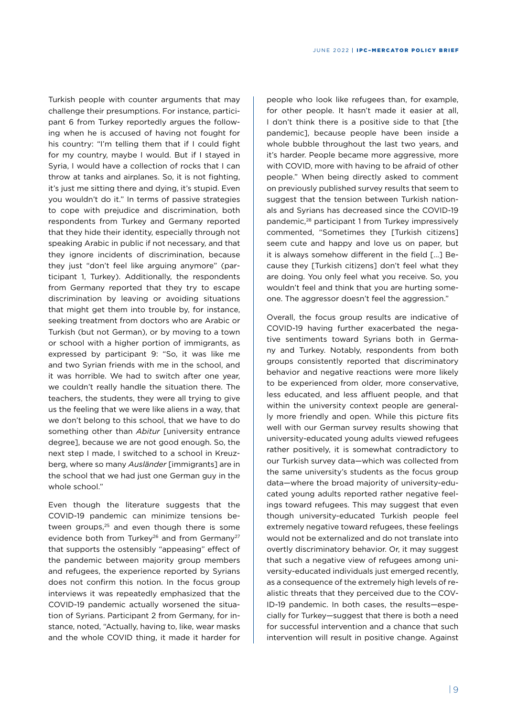Turkish people with counter arguments that may challenge their presumptions. For instance, participant 6 from Turkey reportedly argues the following when he is accused of having not fought for his country: "I'm telling them that if I could fight for my country, maybe I would. But if I stayed in Syria, I would have a collection of rocks that I can throw at tanks and airplanes. So, it is not fighting, it's just me sitting there and dying, it's stupid. Even you wouldn't do it." In terms of passive strategies to cope with prejudice and discrimination, both respondents from Turkey and Germany reported that they hide their identity, especially through not speaking Arabic in public if not necessary, and that they ignore incidents of discrimination, because they just "don't feel like arguing anymore" (participant 1, Turkey). Additionally, the respondents from Germany reported that they try to escape discrimination by leaving or avoiding situations that might get them into trouble by, for instance, seeking treatment from doctors who are Arabic or Turkish (but not German), or by moving to a town or school with a higher portion of immigrants, as expressed by participant 9: "So, it was like me and two Syrian friends with me in the school, and it was horrible. We had to switch after one year, we couldn't really handle the situation there. The teachers, the students, they were all trying to give us the feeling that we were like aliens in a way, that we don't belong to this school, that we have to do something other than *Abitur* [university entrance degree], because we are not good enough. So, the next step I made, I switched to a school in Kreuzberg, where so many *Ausländer* [immigrants] are in the school that we had just one German guy in the whole school."

Even though the literature suggests that the COVID-19 pandemic can minimize tensions between groups,<sup>25</sup> and even though there is some evidence both from Turkey<sup>26</sup> and from Germany<sup>27</sup> that supports the ostensibly "appeasing" effect of the pandemic between majority group members and refugees, the experience reported by Syrians does not confirm this notion. In the focus group interviews it was repeatedly emphasized that the COVID-19 pandemic actually worsened the situation of Syrians. Participant 2 from Germany, for instance, noted, "Actually, having to, like, wear masks and the whole COVID thing, it made it harder for

people who look like refugees than, for example, for other people. It hasn't made it easier at all, I don't think there is a positive side to that [the pandemic], because people have been inside a whole bubble throughout the last two years, and it's harder. People became more aggressive, more with COVID, more with having to be afraid of other people." When being directly asked to comment on previously published survey results that seem to suggest that the tension between Turkish nationals and Syrians has decreased since the COVID-19 pandemic,<sup>28</sup> participant 1 from Turkey impressively commented, "Sometimes they [Turkish citizens] seem cute and happy and love us on paper, but it is always somehow different in the field […] Because they [Turkish citizens] don't feel what they are doing. You only feel what you receive. So, you wouldn't feel and think that you are hurting someone. The aggressor doesn't feel the aggression."

Overall, the focus group results are indicative of COVID-19 having further exacerbated the negative sentiments toward Syrians both in Germany and Turkey. Notably, respondents from both groups consistently reported that discriminatory behavior and negative reactions were more likely to be experienced from older, more conservative, less educated, and less affluent people, and that within the university context people are generally more friendly and open. While this picture fits well with our German survey results showing that university-educated young adults viewed refugees rather positively, it is somewhat contradictory to our Turkish survey data—which was collected from the same university's students as the focus group data—where the broad majority of university-educated young adults reported rather negative feelings toward refugees. This may suggest that even though university-educated Turkish people feel extremely negative toward refugees, these feelings would not be externalized and do not translate into overtly discriminatory behavior. Or, it may suggest that such a negative view of refugees among university-educated individuals just emerged recently, as a consequence of the extremely high levels of realistic threats that they perceived due to the COV-ID-19 pandemic. In both cases, the results—especially for Turkey—suggest that there is both a need for successful intervention and a chance that such intervention will result in positive change. Against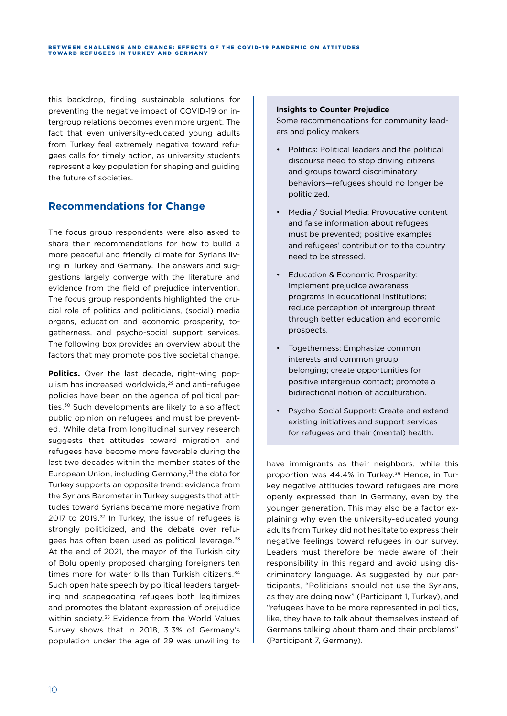#### BETWEEN CHALLENGE AND CHANCE: EFFECTS OF THE COVID-19 PANDEMIC ON ATTITUDES TOWARD REFUGEES IN TURKEY AND GERMANY

this backdrop, finding sustainable solutions for preventing the negative impact of COVID-19 on intergroup relations becomes even more urgent. The fact that even university-educated young adults from Turkey feel extremely negative toward refugees calls for timely action, as university students represent a key population for shaping and guiding the future of societies.

### **Recommendations for Change**

The focus group respondents were also asked to share their recommendations for how to build a more peaceful and friendly climate for Syrians living in Turkey and Germany. The answers and suggestions largely converge with the literature and evidence from the field of prejudice intervention. The focus group respondents highlighted the crucial role of politics and politicians, (social) media organs, education and economic prosperity, togetherness, and psycho-social support services. The following box provides an overview about the factors that may promote positive societal change.

**Politics.** Over the last decade, right-wing populism has increased worldwide,29 and anti-refugee policies have been on the agenda of political parties.30 Such developments are likely to also affect public opinion on refugees and must be prevented. While data from longitudinal survey research suggests that attitudes toward migration and refugees have become more favorable during the last two decades within the member states of the European Union, including Germany,<sup>31</sup> the data for Turkey supports an opposite trend: evidence from the Syrians Barometer in Turkey suggests that attitudes toward Syrians became more negative from 2017 to 2019.<sup>32</sup> In Turkey, the issue of refugees is strongly politicized, and the debate over refugees has often been used as political leverage.<sup>33</sup> At the end of 2021, the mayor of the Turkish city of Bolu openly proposed charging foreigners ten times more for water bills than Turkish citizens.<sup>34</sup> Such open hate speech by political leaders targeting and scapegoating refugees both legitimizes and promotes the blatant expression of prejudice within society.<sup>35</sup> Evidence from the World Values Survey shows that in 2018, 3.3% of Germany's population under the age of 29 was unwilling to

#### **Insights to Counter Prejudice**

Some recommendations for community leaders and policy makers

- Politics: Political leaders and the political discourse need to stop driving citizens and groups toward discriminatory behaviors—refugees should no longer be politicized.
- Media / Social Media: Provocative content and false information about refugees must be prevented; positive examples and refugees' contribution to the country need to be stressed.
- Education & Economic Prosperity: Implement prejudice awareness programs in educational institutions; reduce perception of intergroup threat through better education and economic prospects.
- Togetherness: Emphasize common interests and common group belonging; create opportunities for positive intergroup contact; promote a bidirectional notion of acculturation.
- Psycho-Social Support: Create and extend existing initiatives and support services for refugees and their (mental) health.

have immigrants as their neighbors, while this proportion was 44.4% in Turkey.<sup>36</sup> Hence, in Turkey negative attitudes toward refugees are more openly expressed than in Germany, even by the younger generation. This may also be a factor explaining why even the university-educated young adults from Turkey did not hesitate to express their negative feelings toward refugees in our survey. Leaders must therefore be made aware of their responsibility in this regard and avoid using discriminatory language. As suggested by our participants, "Politicians should not use the Syrians, as they are doing now" (Participant 1, Turkey), and "refugees have to be more represented in politics, like, they have to talk about themselves instead of Germans talking about them and their problems" (Participant 7, Germany).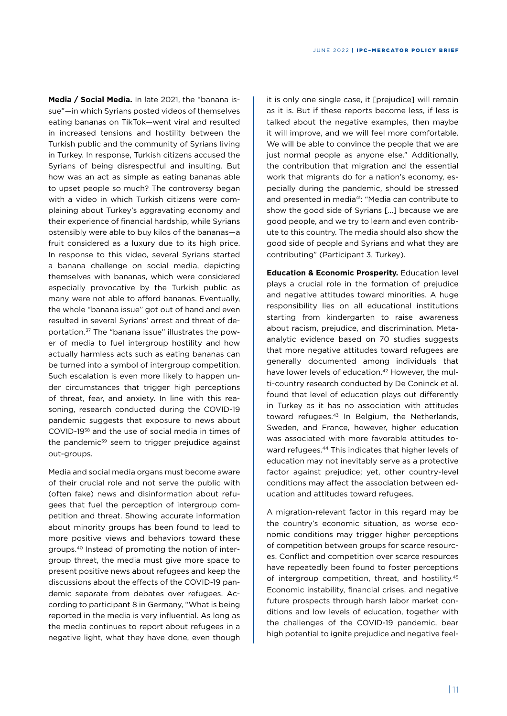**Media / Social Media.** In late 2021, the "banana issue"—in which Syrians posted videos of themselves eating bananas on TikTok—went viral and resulted in increased tensions and hostility between the Turkish public and the community of Syrians living in Turkey. In response, Turkish citizens accused the Syrians of being disrespectful and insulting. But how was an act as simple as eating bananas able to upset people so much? The controversy began with a video in which Turkish citizens were complaining about Turkey's aggravating economy and their experience of financial hardship, while Syrians ostensibly were able to buy kilos of the bananas—a fruit considered as a luxury due to its high price. In response to this video, several Syrians started a banana challenge on social media, depicting themselves with bananas, which were considered especially provocative by the Turkish public as many were not able to afford bananas. Eventually, the whole "banana issue" got out of hand and even resulted in several Syrians' arrest and threat of deportation.37 The "banana issue" illustrates the power of media to fuel intergroup hostility and how actually harmless acts such as eating bananas can be turned into a symbol of intergroup competition. Such escalation is even more likely to happen under circumstances that trigger high perceptions of threat, fear, and anxiety. In line with this reasoning, research conducted during the COVID-19 pandemic suggests that exposure to news about COVID-1938 and the use of social media in times of the pandemic<sup>39</sup> seem to trigger prejudice against out-groups.

Media and social media organs must become aware of their crucial role and not serve the public with (often fake) news and disinformation about refugees that fuel the perception of intergroup competition and threat. Showing accurate information about minority groups has been found to lead to more positive views and behaviors toward these groups.40 Instead of promoting the notion of intergroup threat, the media must give more space to present positive news about refugees and keep the discussions about the effects of the COVID-19 pandemic separate from debates over refugees. According to participant 8 in Germany, "What is being reported in the media is very influential. As long as the media continues to report about refugees in a negative light, what they have done, even though

it is only one single case, it [prejudice] will remain as it is. But if these reports become less, if less is talked about the negative examples, then maybe it will improve, and we will feel more comfortable. We will be able to convince the people that we are just normal people as anyone else." Additionally, the contribution that migration and the essential work that migrants do for a nation's economy, especially during the pandemic, should be stressed and presented in media<sup>41</sup>: "Media can contribute to show the good side of Syrians […] because we are good people, and we try to learn and even contribute to this country. The media should also show the good side of people and Syrians and what they are contributing" (Participant 3, Turkey).

**Education & Economic Prosperity.** Education level plays a crucial role in the formation of prejudice and negative attitudes toward minorities. A huge responsibility lies on all educational institutions starting from kindergarten to raise awareness about racism, prejudice, and discrimination. Metaanalytic evidence based on 70 studies suggests that more negative attitudes toward refugees are generally documented among individuals that have lower levels of education.<sup>42</sup> However, the multi-country research conducted by De Coninck et al. found that level of education plays out differently in Turkey as it has no association with attitudes toward refugees.43 In Belgium, the Netherlands, Sweden, and France, however, higher education was associated with more favorable attitudes toward refugees.44 This indicates that higher levels of education may not inevitably serve as a protective factor against prejudice; yet, other country-level conditions may affect the association between education and attitudes toward refugees.

A migration-relevant factor in this regard may be the country's economic situation, as worse economic conditions may trigger higher perceptions of competition between groups for scarce resources. Conflict and competition over scarce resources have repeatedly been found to foster perceptions of intergroup competition, threat, and hostility.<sup>45</sup> Economic instability, financial crises, and negative future prospects through harsh labor market conditions and low levels of education, together with the challenges of the COVID-19 pandemic, bear high potential to ignite prejudice and negative feel-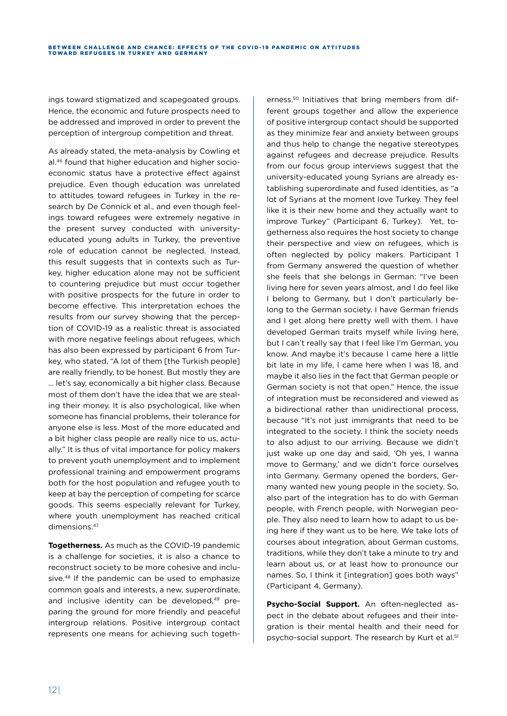ings toward stigmatized and scapegoated groups. Hence, the economic and future prospects need to be addressed and improved in order to prevent the perception of intergroup competition and threat.

As already stated, the meta-analysis by Cowling et al.46 found that higher education and higher socioeconomic status have a protective effect against prejudice. Even though education was unrelated to attitudes toward refugees in Turkey in the research by De Connick et al., and even though feelings toward refugees were extremely negative in the present survey conducted with universityeducated young adults in Turkey, the preventive role of education cannot be neglected. Instead, this result suggests that in contexts such as Turkey, higher education alone may not be sufficient to countering prejudice but must occur together with positive prospects for the future in order to become effective. This interpretation echoes the results from our survey showing that the perception of COVID-19 as a realistic threat is associated with more negative feelings about refugees, which has also been expressed by participant 6 from Turkey, who stated, "A lot of them [the Turkish people] are really friendly, to be honest. But mostly they are … let's say, economically a bit higher class. Because most of them don't have the idea that we are stealing their money. It is also psychological, like when someone has financial problems, their tolerance for anyone else is less. Most of the more educated and a bit higher class people are really nice to us, actually." It is thus of vital importance for policy makers to prevent youth unemployment and to implement professional training and empowerment programs both for the host population and refugee youth to keep at bay the perception of competing for scarce goods. This seems especially relevant for Turkey, where youth unemployment has reached critical dimensions.<sup>47</sup>

**Togetherness.** As much as the COVID-19 pandemic is a challenge for societies, it is also a chance to reconstruct society to be more cohesive and inclusive.<sup>48</sup> If the pandemic can be used to emphasize common goals and interests, a new, superordinate, and inclusive identity can be developed,<sup>49</sup> preparing the ground for more friendly and peaceful intergroup relations. Positive intergroup contact represents one means for achieving such togeth-

erness.<sup>50</sup> Initiatives that bring members from different groups together and allow the experience of positive intergroup contact should be supported as they minimize fear and anxiety between groups and thus help to change the negative stereotypes against refugees and decrease prejudice. Results from our focus group interviews suggest that the university-educated young Syrians are already establishing superordinate and fused identities, as "a lot of Syrians at the moment love Turkey. They feel like it is their new home and they actually want to improve Turkey" (Participant 6, Turkey). Yet, togetherness also requires the host society to change their perspective and view on refugees, which is often neglected by policy makers. Participant 1 from Germany answered the question of whether she feels that she belongs in German: "I've been living here for seven years almost, and I do feel like I belong to Germany, but I don't particularly belong to the German society. I have German friends and I get along here pretty well with them. I have developed German traits myself while living here, but I can't really say that I feel like I'm German, you know. And maybe it's because I came here a little bit late in my life, I came here when I was 18, and maybe it also lies in the fact that German people or German society is not that open." Hence, the issue of integration must be reconsidered and viewed as a bidirectional rather than unidirectional process, because "It's not just immigrants that need to be integrated to the society. I think the society needs to also adjust to our arriving. Because we didn't just wake up one day and said, 'Oh yes, I wanna move to Germany,' and we didn't force ourselves into Germany. Germany opened the borders, Germany wanted new young people in the society. So, also part of the integration has to do with German people, with French people, with Norwegian people. They also need to learn how to adapt to us being here if they want us to be here. We take lots of courses about integration, about German customs, traditions, while they don't take a minute to try and learn about us, or at least how to pronounce our names. So, I think it *[integration]* goes both ways" (Participant 4, Germany).

**Psycho-Social Support.** An often-neglected aspect in the debate about refugees and their integration is their mental health and their need for psycho-social support. The research by Kurt et al.<sup>51</sup>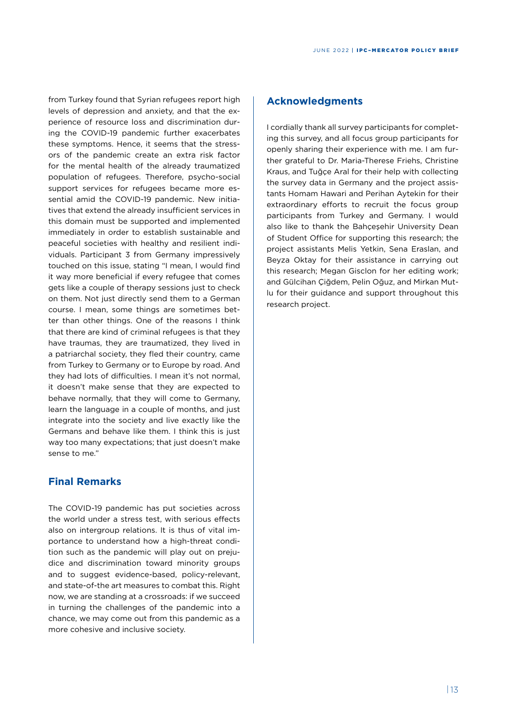from Turkey found that Syrian refugees report high levels of depression and anxiety, and that the experience of resource loss and discrimination during the COVID-19 pandemic further exacerbates these symptoms. Hence, it seems that the stressors of the pandemic create an extra risk factor for the mental health of the already traumatized population of refugees. Therefore, psycho-social support services for refugees became more essential amid the COVID-19 pandemic. New initiatives that extend the already insufficient services in this domain must be supported and implemented immediately in order to establish sustainable and peaceful societies with healthy and resilient individuals. Participant 3 from Germany impressively touched on this issue, stating "I mean, I would find it way more beneficial if every refugee that comes gets like a couple of therapy sessions just to check on them. Not just directly send them to a German course. I mean, some things are sometimes better than other things. One of the reasons I think that there are kind of criminal refugees is that they have traumas, they are traumatized, they lived in a patriarchal society, they fled their country, came from Turkey to Germany or to Europe by road. And they had lots of difficulties. I mean it's not normal, it doesn't make sense that they are expected to behave normally, that they will come to Germany, learn the language in a couple of months, and just integrate into the society and live exactly like the Germans and behave like them. I think this is just way too many expectations; that just doesn't make sense to me."

### **Final Remarks**

The COVID-19 pandemic has put societies across the world under a stress test, with serious effects also on intergroup relations. It is thus of vital importance to understand how a high-threat condition such as the pandemic will play out on prejudice and discrimination toward minority groups and to suggest evidence-based, policy-relevant, and state-of-the art measures to combat this. Right now, we are standing at a crossroads: if we succeed in turning the challenges of the pandemic into a chance, we may come out from this pandemic as a more cohesive and inclusive society.

### **Acknowledgments**

I cordially thank all survey participants for completing this survey, and all focus group participants for openly sharing their experience with me. I am further grateful to Dr. Maria-Therese Friehs, Christine Kraus, and Tuğçe Aral for their help with collecting the survey data in Germany and the project assistants Homam Hawari and Perihan Aytekin for their extraordinary efforts to recruit the focus group participants from Turkey and Germany. I would also like to thank the Bahçeşehir University Dean of Student Office for supporting this research; the project assistants Melis Yetkin, Sena Eraslan, and Beyza Oktay for their assistance in carrying out this research; Megan Gisclon for her editing work; and Gülcihan Çiğdem, Pelin Oğuz, and Mirkan Mutlu for their guidance and support throughout this research project.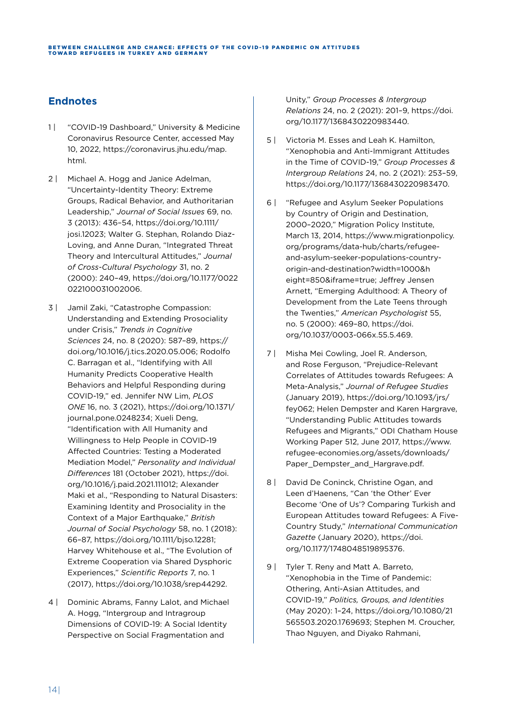### **Endnotes**

- 1 | "COVID-19 Dashboard," University & Medicine Coronavirus Resource Center, accessed May 10, 2022, [https://coronavirus.jhu.edu/map.](https://coronavirus.jhu.edu/map.html) [html](https://coronavirus.jhu.edu/map.html).
- 2 | Michael A. Hogg and Janice Adelman, "Uncertainty-Identity Theory: Extreme Groups, Radical Behavior, and Authoritarian Leadership," *Journal of Social Issues* 69, no. 3 (2013): 436–54, [https://doi.org/10.1111/](https://doi.org/10.1111/josi.12023) [josi.12023](https://doi.org/10.1111/josi.12023); Walter G. Stephan, Rolando Diaz-Loving, and Anne Duran, "Integrated Threat Theory and Intercultural Attitudes," *Journal of Cross-Cultural Psychology* 31, no. 2 (2000): 240–49, [https://doi.org/10.1177/0022](https://doi.org/10.1177/0022022100031002006) [022100031002006.](https://doi.org/10.1177/0022022100031002006)
- 3 | Jamil Zaki, "Catastrophe Compassion: Understanding and Extending Prosociality under Crisis," *Trends in Cognitive Sciences* 24, no. 8 (2020): 587–89, [https://](https://doi.org/10.1016/j.tics.2020.05.006) [doi.org/10.1016/j.tics.2020.05.006](https://doi.org/10.1016/j.tics.2020.05.006); Rodolfo C. Barragan et al., "Identifying with All Humanity Predicts Cooperative Health Behaviors and Helpful Responding during COVID-19," ed. Jennifer NW Lim, *PLOS ONE* 16, no. 3 (2021), [https://doi.org/10.1371/](https://doi.org/10.1371/journal.pone.0248234) [journal.pone.0248234;](https://doi.org/10.1371/journal.pone.0248234) Xueli Deng, "Identification with All Humanity and Willingness to Help People in COVID-19 Affected Countries: Testing a Moderated Mediation Model," *Personality and Individual Differences* 181 (October 2021), [https://doi.](https://doi.org/10.1016/j.paid.2021.111012) [org/10.1016/j.paid.2021.111012;](https://doi.org/10.1016/j.paid.2021.111012) Alexander Maki et al., "Responding to Natural Disasters: Examining Identity and Prosociality in the Context of a Major Earthquake," *British Journal of Social Psychology* 58, no. 1 (2018): 66–87, <https://doi.org/10.1111/bjso.12281>; Harvey Whitehouse et al., "The Evolution of Extreme Cooperation via Shared Dysphoric Experiences," *Scientific Reports* 7, no. 1 (2017), [https://doi.org/10.1038/srep44292.](https://doi.org/10.1038/srep44292)
- 4 | Dominic Abrams, Fanny Lalot, and Michael A. Hogg, "Intergroup and Intragroup Dimensions of COVID-19: A Social Identity Perspective on Social Fragmentation and

Unity," *Group Processes & Intergroup Relations* 24, no. 2 (2021): 201–9, [https://doi.](https://doi.org/10.1177/1368430220983440) [org/10.1177/1368430220983440](https://doi.org/10.1177/1368430220983440).

- 5 | Victoria M. Esses and Leah K. Hamilton, "Xenophobia and Anti-Immigrant Attitudes in the Time of COVID-19," *Group Processes & Intergroup Relations* 24, no. 2 (2021): 253–59, [https://doi.org/10.1177/1368430220983470.](https://doi.org/10.1177/1368430220983470)
- 6 | "Refugee and Asylum Seeker Populations by Country of Origin and Destination, 2000–2020," Migration Policy Institute, March 13, 2014, [https://www.migrationpolicy.](https://www.migrationpolicy.org/programs/data-hub/charts/refugee-and-asylum-seeker-populations-country-origin-and-destination?width=1000&height=850&iframe=true) [org/programs/data-hub/charts/refugee](https://www.migrationpolicy.org/programs/data-hub/charts/refugee-and-asylum-seeker-populations-country-origin-and-destination?width=1000&height=850&iframe=true)[and-asylum-seeker-populations-country](https://www.migrationpolicy.org/programs/data-hub/charts/refugee-and-asylum-seeker-populations-country-origin-and-destination?width=1000&height=850&iframe=true)[origin-and-destination?width=1000&h](https://www.migrationpolicy.org/programs/data-hub/charts/refugee-and-asylum-seeker-populations-country-origin-and-destination?width=1000&height=850&iframe=true) [eight=850&iframe=true](https://www.migrationpolicy.org/programs/data-hub/charts/refugee-and-asylum-seeker-populations-country-origin-and-destination?width=1000&height=850&iframe=true); Jeffrey Jensen Arnett, "Emerging Adulthood: A Theory of Development from the Late Teens through the Twenties," *American Psychologist* 55, no. 5 (2000): 469–80, [https://doi.](https://doi.org/10.1037/0003-066x.55.5.469) [org/10.1037/0003-066x.55.5.469.](https://doi.org/10.1037/0003-066x.55.5.469)
- 7 | Misha Mei Cowling, Joel R. Anderson, and Rose Ferguson, "Prejudice-Relevant Correlates of Attitudes towards Refugees: A Meta-Analysis," *Journal of Refugee Studies* (January 2019), [https://doi.org/10.1093/jrs/](https://doi.org/10.1093/jrs/fey062) [fey062](https://doi.org/10.1093/jrs/fey062); Helen Dempster and Karen Hargrave, "Understanding Public Attitudes towards Refugees and Migrants," ODI Chatham House Working Paper 512, June 2017, [https://www.](https://www.refugee-economies.org/assets/downloads/Paper_Dempster_and_Hargrave.pdf) [refugee-economies.org/assets/downloads/](https://www.refugee-economies.org/assets/downloads/Paper_Dempster_and_Hargrave.pdf) [Paper\\_Dempster\\_and\\_Hargrave.pdf.](https://www.refugee-economies.org/assets/downloads/Paper_Dempster_and_Hargrave.pdf)
- 8 | David De Coninck, Christine Ogan, and Leen d'Haenens, "Can 'the Other' Ever Become 'One of Us'? Comparing Turkish and European Attitudes toward Refugees: A Five-Country Study," *International Communication Gazette* (January 2020), [https://doi.](https://doi.org/10.1177/1748048519895376) [org/10.1177/1748048519895376](https://doi.org/10.1177/1748048519895376).
- 9 | Tyler T. Reny and Matt A. Barreto, "Xenophobia in the Time of Pandemic: Othering, Anti-Asian Attitudes, and COVID-19," *Politics, Groups, and Identities* (May 2020): 1–24, [https://doi.org/10.1080/21](https://doi.org/10.1080/21565503.2020.1769693) [565503.2020.1769693](https://doi.org/10.1080/21565503.2020.1769693); Stephen M. Croucher, Thao Nguyen, and Diyako Rahmani,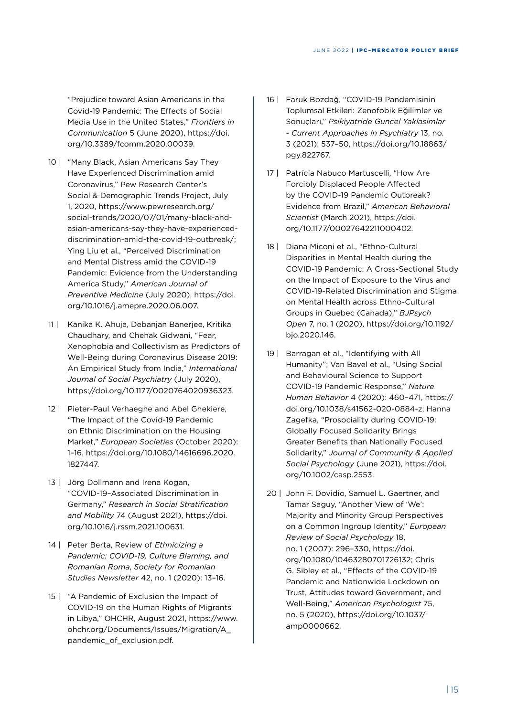"Prejudice toward Asian Americans in the Covid-19 Pandemic: The Effects of Social Media Use in the United States," *Frontiers in Communication* 5 (June 2020), [https://doi.](https://doi.org/10.3389/fcomm.2020.00039) [org/10.3389/fcomm.2020.00039.](https://doi.org/10.3389/fcomm.2020.00039)

- 10 | "Many Black, Asian Americans Say They Have Experienced Discrimination amid Coronavirus," Pew Research Center's Social & Demographic Trends Project, July 1, 2020, [https://www.pewresearch.org/](https://www.pewresearch.org/social-trends/2020/07/01/many-black-and-asian-americans-say-they-have-experienced-discrimination-amid-the-covid-19-outbreak/) [social-trends/2020/07/01/many-black-and](https://www.pewresearch.org/social-trends/2020/07/01/many-black-and-asian-americans-say-they-have-experienced-discrimination-amid-the-covid-19-outbreak/)[asian-americans-say-they-have-experienced](https://www.pewresearch.org/social-trends/2020/07/01/many-black-and-asian-americans-say-they-have-experienced-discrimination-amid-the-covid-19-outbreak/)[discrimination-amid-the-covid-19-outbreak/;](https://www.pewresearch.org/social-trends/2020/07/01/many-black-and-asian-americans-say-they-have-experienced-discrimination-amid-the-covid-19-outbreak/) Ying Liu et al., "Perceived Discrimination and Mental Distress amid the COVID-19 Pandemic: Evidence from the Understanding America Study," *American Journal of Preventive Medicine* (July 2020), [https://doi.](https://doi.org/10.1016/j.amepre.2020.06.007) [org/10.1016/j.amepre.2020.06.007.](https://doi.org/10.1016/j.amepre.2020.06.007)
- 11 | Kanika K. Ahuja, Debanjan Banerjee, Kritika Chaudhary, and Chehak Gidwani, "Fear, Xenophobia and Collectivism as Predictors of Well-Being during Coronavirus Disease 2019: An Empirical Study from India," *International Journal of Social Psychiatry* (July 2020), <https://doi.org/10.1177/0020764020936323>.
- 12 | Pieter-Paul Verhaeghe and Abel Ghekiere, "The Impact of the Covid-19 Pandemic on Ethnic Discrimination on the Housing Market," *European Societies* (October 2020): 1–16, [https://doi.org/10.1080/14616696.2020.](https://doi.org/10.1080/14616696.2020.1827447) [1827447](https://doi.org/10.1080/14616696.2020.1827447).
- 13 | Jörg Dollmann and Irena Kogan, "COVID-19–Associated Discrimination in Germany," *Research in Social Stratification and Mobility* 74 (August 2021), [https://doi.](https://doi.org/10.1016/j.rssm.2021.100631) [org/10.1016/j.rssm.2021.100631](https://doi.org/10.1016/j.rssm.2021.100631).
- 14 | Peter Berta, Review of *Ethnicizing a Pandemic: COVID-19, Culture Blaming, and Romanian Roma*, *Society for Romanian Studies Newsletter* 42, no. 1 (2020): 13–16.
- 15 | "A Pandemic of Exclusion the Impact of COVID-19 on the Human Rights of Migrants in Libya," OHCHR, August 2021, [https://www.](https://www.ohchr.org/Documents/Issues/Migration/A_pandemic_of_exclusion.pdf) [ohchr.org/Documents/Issues/Migration/A\\_](https://www.ohchr.org/Documents/Issues/Migration/A_pandemic_of_exclusion.pdf) [pandemic\\_of\\_exclusion.pdf.](https://www.ohchr.org/Documents/Issues/Migration/A_pandemic_of_exclusion.pdf)
- 16 | Faruk Bozdağ, "COVID-19 Pandemisinin Toplumsal Etkileri: Zenofobik Eğilimler ve Sonuçları," *Psikiyatride Guncel Yaklasimlar - Current Approaches in Psychiatry* 13, no. 3 (2021): 537–50, [https://doi.org/10.18863/](https://doi.org/10.18863/pgy.822767) [pgy.822767](https://doi.org/10.18863/pgy.822767).
- 17 | Patrícia Nabuco Martuscelli, "How Are Forcibly Displaced People Affected by the COVID-19 Pandemic Outbreak? Evidence from Brazil," *American Behavioral Scientist* (March 2021), [https://doi.](https://doi.org/10.1177/00027642211000402) [org/10.1177/00027642211000402](https://doi.org/10.1177/00027642211000402).
- 18 | Diana Miconi et al., "Ethno-Cultural Disparities in Mental Health during the COVID-19 Pandemic: A Cross-Sectional Study on the Impact of Exposure to the Virus and COVID-19-Related Discrimination and Stigma on Mental Health across Ethno-Cultural Groups in Quebec (Canada)," *BJPsych Open* 7, no. 1 (2020), [https://doi.org/10.1192/](https://doi.org/10.1192/bjo.2020.146) [bjo.2020.146](https://doi.org/10.1192/bjo.2020.146).
- 19 | Barragan et al., "Identifying with All Humanity"; Van Bavel et al., "Using Social and Behavioural Science to Support COVID-19 Pandemic Response," *Nature Human Behavior* 4 (2020): 460–471, [https://](https://doi.org/10.1038/s41562-020-0884-z) [doi.org/10.1038/s41562-020-0884-z;](https://doi.org/10.1038/s41562-020-0884-z) Hanna Zagefka, "Prosociality during COVID-19: Globally Focused Solidarity Brings Greater Benefits than Nationally Focused Solidarity," *Journal of Community & Applied Social Psychology* (June 2021), [https://doi.](https://doi.org/10.1002/casp.2553) [org/10.1002/casp.2553](https://doi.org/10.1002/casp.2553).
- 20 | John F. Dovidio, Samuel L. Gaertner, and Tamar Saguy, "Another View of 'We': Majority and Minority Group Perspectives on a Common Ingroup Identity," *European Review of Social Psychology* 18, no. 1 (2007): 296–330, [https://doi.](https://doi.org/10.1080/10463280701726132) [org/10.1080/10463280701726132;](https://doi.org/10.1080/10463280701726132) Chris G. Sibley et al., "Effects of the COVID-19 Pandemic and Nationwide Lockdown on Trust, Attitudes toward Government, and Well-Being," *American Psychologist* 75, no. 5 (2020), [https://doi.org/10.1037/](https://doi.org/10.1037/amp0000662) [amp0000662](https://doi.org/10.1037/amp0000662).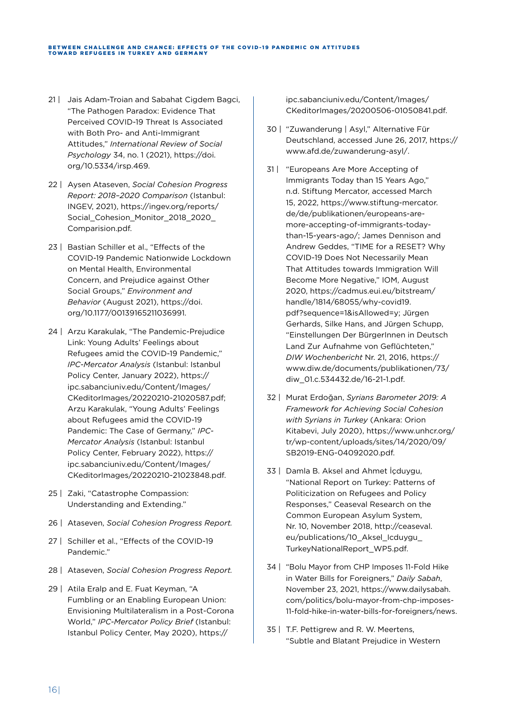#### BETWEEN CHALLENGE AND CHANCE: EFFECTS OF THE COVID-19 PANDEMIC ON ATTITUDES TOWARD REFUGEES IN TURKEY AND GERMANY

- 21 | Jais Adam-Troian and Sabahat Cigdem Bagci, "The Pathogen Paradox: Evidence That Perceived COVID-19 Threat Is Associated with Both Pro- and Anti-Immigrant Attitudes," *International Review of Social Psychology* 34, no. 1 (2021), [https://doi.](https://doi.org/10.5334/irsp.469) [org/10.5334/irsp.469.](https://doi.org/10.5334/irsp.469)
- 22 | Aysen Ataseven, *Social Cohesion Progress Report: 2018–2020 Comparison* (Istanbul: INGEV, 2021), [https://ingev.org/reports/](https://ingev.org/reports/Social_Cohesion_Monitor_2018_2020_Comparision.pdf) [Social\\_Cohesion\\_Monitor\\_2018\\_2020\\_](https://ingev.org/reports/Social_Cohesion_Monitor_2018_2020_Comparision.pdf) [Comparision.pdf.](https://ingev.org/reports/Social_Cohesion_Monitor_2018_2020_Comparision.pdf)
- 23 | Bastian Schiller et al., "Effects of the COVID-19 Pandemic Nationwide Lockdown on Mental Health, Environmental Concern, and Prejudice against Other Social Groups," *Environment and Behavior* (August 2021), [https://doi.](https://doi.org/10.1177/00139165211036991) [org/10.1177/00139165211036991.](https://doi.org/10.1177/00139165211036991)
- 24 | Arzu Karakulak, "The Pandemic-Prejudice Link: Young Adults' Feelings about Refugees amid the COVID-19 Pandemic," *IPC-Mercator Analysis* (Istanbul: Istanbul Policy Center, January 2022), [https://](https://ipc.sabanciuniv.edu/Content/Images/CKeditorImages/20220210-21020587.pdf) [ipc.sabanciuniv.edu/Content/Images/](https://ipc.sabanciuniv.edu/Content/Images/CKeditorImages/20220210-21020587.pdf) [CKeditorImages/20220210-21020587.pdf;](https://ipc.sabanciuniv.edu/Content/Images/CKeditorImages/20220210-21020587.pdf) Arzu Karakulak, "Young Adults' Feelings about Refugees amid the COVID-19 Pandemic: The Case of Germany," *IPC-Mercator Analysis* (Istanbul: Istanbul Policy Center, February 2022), [https://](https://ipc.sabanciuniv.edu/Content/Images/CKeditorImages/20200506-01050841.pdf) [ipc.sabanciuniv.edu/Content/Images/](https://ipc.sabanciuniv.edu/Content/Images/CKeditorImages/20200506-01050841.pdf) [CKeditorImages/20220210-21023848.pdf.](https://ipc.sabanciuniv.edu/Content/Images/CKeditorImages/20200506-01050841.pdf)
- 25 | Zaki, "Catastrophe Compassion: Understanding and Extending."
- 26 | Ataseven, *Social Cohesion Progress Report.*
- 27 | Schiller et al., "Effects of the COVID-19 Pandemic."
- 28 | Ataseven, *Social Cohesion Progress Report.*
- 29 | Atila Eralp and E. Fuat Keyman, "A Fumbling or an Enabling European Union: Envisioning Multilateralism in a Post-Corona World," *IPC-Mercator Policy Brief* (Istanbul: Istanbul Policy Center, May 2020), [https://](https://ipc.sabanciuniv.edu/Content/Images/CKeditorImages/20200506-01050841.pdf)

[ipc.sabanciuniv.edu/Content/Images/](https://ipc.sabanciuniv.edu/Content/Images/CKeditorImages/20200506-01050841.pdf) [CKeditorImages/20200506-01050841.pdf](https://ipc.sabanciuniv.edu/Content/Images/CKeditorImages/20200506-01050841.pdf).

- 30 | "Zuwanderung | Asyl," Alternative Für Deutschland, accessed June 26, 2017, [https://](https://www.afd.de/zuwanderung-asyl/) [www.afd.de/zuwanderung-asyl/.](https://www.afd.de/zuwanderung-asyl/)
- 31 | "Europeans Are More Accepting of Immigrants Today than 15 Years Ago," n.d. Stiftung Mercator, accessed March 15, 2022, [https://www.stiftung-mercator.](https://www.stiftung-mercator.de/de/publikationen/europeans-are-more-accepting-of-immigrants-today-than-15-years-ago/) [de/de/publikationen/europeans-are](https://www.stiftung-mercator.de/de/publikationen/europeans-are-more-accepting-of-immigrants-today-than-15-years-ago/)[more-accepting-of-immigrants-today](https://www.stiftung-mercator.de/de/publikationen/europeans-are-more-accepting-of-immigrants-today-than-15-years-ago/)[than-15-years-ago/](https://www.stiftung-mercator.de/de/publikationen/europeans-are-more-accepting-of-immigrants-today-than-15-years-ago/); James Dennison and Andrew Geddes, "TIME for a RESET? Why COVID-19 Does Not Necessarily Mean That Attitudes towards Immigration Will Become More Negative," IOM, August 2020, [https://cadmus.eui.eu/bitstream/](https://cadmus.eui.eu/bitstream/handle/1814/68055/why-covid19.pdf?sequence=1&isAllowed=y) [handle/1814/68055/why-covid19.](https://cadmus.eui.eu/bitstream/handle/1814/68055/why-covid19.pdf?sequence=1&isAllowed=y) [pdf?sequence=1&isAllowed=y](https://cadmus.eui.eu/bitstream/handle/1814/68055/why-covid19.pdf?sequence=1&isAllowed=y); Jürgen Gerhards, Silke Hans, and Jürgen Schupp, "Einstellungen Der BürgerInnen in Deutsch Land Zur Aufnahme von Geflüchteten," *DIW Wochenbericht* Nr. 21, 2016, [https://](https://www.diw.de/documents/publikationen/73/diw_01.c.534432.de/16-21-1.pdf) [www.diw.de/documents/publikationen/73/](https://www.diw.de/documents/publikationen/73/diw_01.c.534432.de/16-21-1.pdf) [diw\\_01.c.534432.de/16-21-1.pdf](https://www.diw.de/documents/publikationen/73/diw_01.c.534432.de/16-21-1.pdf).
- 32 | Murat Erdoğan, *Syrians Barometer 2019: A Framework for Achieving Social Cohesion with Syrians in Turkey* (Ankara: Orion Kitabevi, July 2020), [https://www.unhcr.org/](https://www.unhcr.org/tr/wp-content/uploads/sites/14/2020/09/SB2019-ENG-04092020.pdf) [tr/wp-content/uploads/sites/14/2020/09/](https://www.unhcr.org/tr/wp-content/uploads/sites/14/2020/09/SB2019-ENG-04092020.pdf) [SB2019-ENG-04092020.pdf.](https://www.unhcr.org/tr/wp-content/uploads/sites/14/2020/09/SB2019-ENG-04092020.pdf)
- 33 | Damla B. Aksel and Ahmet İçduygu, "National Report on Turkey: Patterns of Politicization on Refugees and Policy Responses," Ceaseval Research on the Common European Asylum System, Nr. 10, November 2018, [http://ceaseval.](http://ceaseval.eu/publications/10_Aksel_Icduygu_TurkeyNationalReport_WP5.pdf) [eu/publications/10\\_Aksel\\_Icduygu\\_](http://ceaseval.eu/publications/10_Aksel_Icduygu_TurkeyNationalReport_WP5.pdf) [TurkeyNationalReport\\_WP5.pdf](http://ceaseval.eu/publications/10_Aksel_Icduygu_TurkeyNationalReport_WP5.pdf).
- 34 | "Bolu Mayor from CHP Imposes 11-Fold Hike in Water Bills for Foreigners," *Daily Sabah*, November 23, 2021, [https://www.dailysabah.](https://www.dailysabah.com/politics/bolu-mayor-from-chp-imposes-11-fold-hike-in-water-bills-for-foreigners/news) [com/politics/bolu-mayor-from-chp-imposes-](https://www.dailysabah.com/politics/bolu-mayor-from-chp-imposes-11-fold-hike-in-water-bills-for-foreigners/news)[11-fold-hike-in-water-bills-for-foreigners/news.](https://www.dailysabah.com/politics/bolu-mayor-from-chp-imposes-11-fold-hike-in-water-bills-for-foreigners/news)
- 35 | T.F. Pettigrew and R. W. Meertens, "Subtle and Blatant Prejudice in Western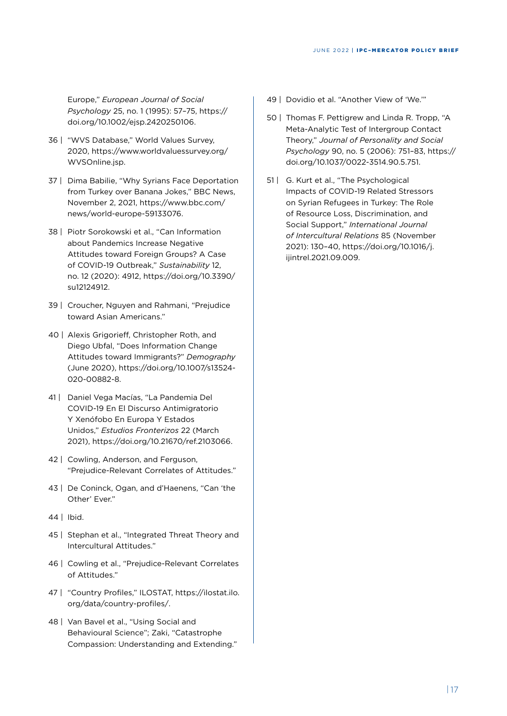Europe," *European Journal of Social Psychology* 25, no. 1 (1995): 57–75, [https://](https://doi.org/10.1002/ejsp.2420250106) [doi.org/10.1002/ejsp.2420250106.](https://doi.org/10.1002/ejsp.2420250106)

- 36 | "WVS Database," World Values Survey, 2020, [https://www.worldvaluessurvey.org/](https://www.worldvaluessurvey.org/WVSOnline.jsp) [WVSOnline.jsp](https://www.worldvaluessurvey.org/WVSOnline.jsp).
- 37 | Dima Babilie, "Why Syrians Face Deportation from Turkey over Banana Jokes," BBC News, November 2, 2021, [https://www.bbc.com/](https://www.bbc.com/news/world-europe-59133076) [news/world-europe-59133076](https://www.bbc.com/news/world-europe-59133076).
- 38 | Piotr Sorokowski et al., "Can Information about Pandemics Increase Negative Attitudes toward Foreign Groups? A Case of COVID-19 Outbreak," *Sustainability* 12, no. 12 (2020): 4912, [https://doi.org/10.3390/](https://doi.org/10.3390/su12124912) [su12124912.](https://doi.org/10.3390/su12124912)
- 39 | Croucher, Nguyen and Rahmani, "Prejudice toward Asian Americans."
- 40 | Alexis Grigorieff, Christopher Roth, and Diego Ubfal, "Does Information Change Attitudes toward Immigrants?" *Demography* (June 2020), [https://doi.org/10.1007/s13524-](https://doi.org/10.1007/s13524-020-00882-8) [020-00882-8](https://doi.org/10.1007/s13524-020-00882-8).
- 41 | Daniel Vega Macías, "La Pandemia Del COVID-19 En El Discurso Antimigratorio Y Xenófobo En Europa Y Estados Unidos," *Estudios Fronterizos* 22 (March 2021), [https://doi.org/10.21670/ref.2103066.](https://doi.org/10.21670/ref.2103066)
- 42 | Cowling, Anderson, and Ferguson, "Prejudice-Relevant Correlates of Attitudes."
- 43 | De Coninck, Ogan, and d'Haenens, "Can 'the Other' Ever."
- 44 | Ibid.
- 45 | Stephan et al., "Integrated Threat Theory and Intercultural Attitudes."
- 46 | Cowling et al., "Prejudice-Relevant Correlates of Attitudes."
- 47 | "Country Profiles," ILOSTAT, [https://ilostat.ilo.](https://ilostat.ilo.org/data/country-profiles/) [org/data/country-profiles/](https://ilostat.ilo.org/data/country-profiles/).
- 48 | Van Bavel et al., "Using Social and Behavioural Science"; Zaki, "Catastrophe Compassion: Understanding and Extending."
- 49 | Dovidio et al. "Another View of 'We.""
- 50 | Thomas F. Pettigrew and Linda R. Tropp, "A Meta-Analytic Test of Intergroup Contact Theory," *Journal of Personality and Social Psychology* 90, no. 5 (2006): 751–83, [https://](https://doi.org/10.1037/0022-3514.90.5.751) [doi.org/10.1037/0022-3514.90.5.751.](https://doi.org/10.1037/0022-3514.90.5.751)
- 51 | G. Kurt et al., "The Psychological Impacts of COVID-19 Related Stressors on Syrian Refugees in Turkey: The Role of Resource Loss, Discrimination, and Social Support," *International Journal of Intercultural Relations* 85 (November 2021): 130–40, [https://doi.org/10.1016/j.](https://doi.org/10.1016/j.ijintrel.2021.09.009) [ijintrel.2021.09.009.](https://doi.org/10.1016/j.ijintrel.2021.09.009)